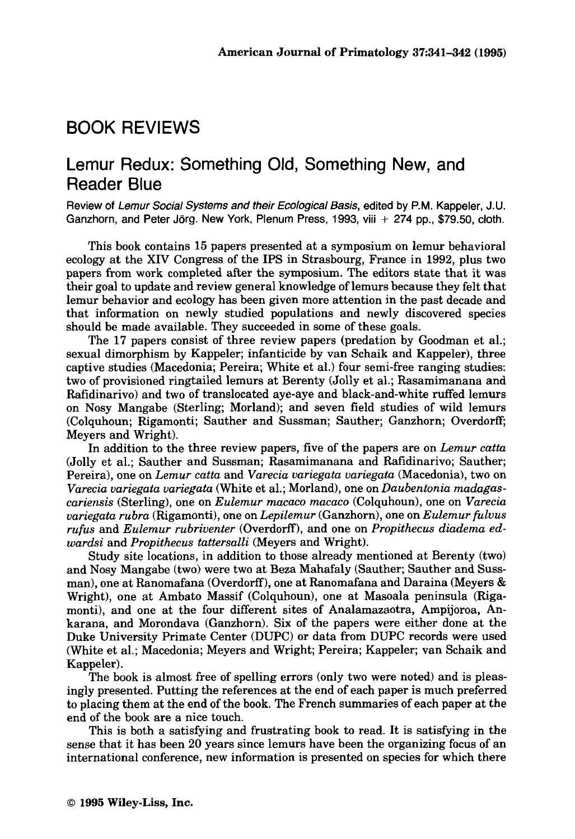## BOOK REVIEWS

## Lemur Redux: Something Old, Something New, and Reader Blue

Review of *Lemur Social Systems and their Ecological Basis,* edited **by P.M.** Kappeler, J.U. Ganzhorn, and Peter **Jorg.** New York, Plenum Press, 1993, viii + 274 pp., \$79.50, cloth.

This book contains 15 papers presented at a symposium on lemur behavioral ecology at the XIV Congress of the IPS in Strasbourg, France in **1992,** plus two papers from work completed after the symposium. The editors state that it was their goal to update and review general knowledge of lemurs because they felt that lemur behavior and ecology has been given more attention in the past decade and that information on newly studied populations and newly discovered species should be made available. They succeeded in some of these goals.

The 17 papers consist of three review papers (predation by Goodman et al.; sexual dimorphism by Kappeler; infanticide by van Schaik and Kappeler), three captive studies (Macedonia; Pereira; White et al.) four semi-free ranging studies: two of provisioned ringtailed lemurs at Berenty (Jolly et al.; Rasamimanana and Rafidinarivo) and two of translocated aye-aye and black-and-white ruffed lemurs on Nosy Mangabe (Sterling; Morland); and seven field studies of wild lemurs (Colquhoun; Rigamonti; Sauther and Sussman; Sauther; Ganzhorn; Overdorff, Meyers and Wright).

In addition to the three review papers, five of the papers are on *Lemur catta*  (Jolly et al.; Sauther and Sussman; Rasamimanana and Rafidinarivo; Sauther; Pereira), one on *Lemur catta* and *Varecia variegata variegata* (Macedonia), two on *Varecia uariegata variegata* (White et al.; Morland), one on *Daubentonia madugascariensis* (Sterling), one on *Eulemur macaco macaco* (Colquhoun), one on *Varecia uariegata rubra* (Rigamonti), one on *Lepilemur* (Ganzhorn), one on *Eulemur fulvus rufus* and *Eulemur rubriuenter* (Overdorff), and one on *Propithecus diadema edwardsi* and *Propithecus tattersalli* (Meyers and Wright).

Study site locations, in addition to those already mentioned at Berenty (two) and Nosy Mangabe (two) were two at Beza Mahafaly (Sauther; Sauther and Sussman), one at Ranomafana (Overdorff), one at Ranomafana and Daraina (Meyers & Wright), one at Ambato Massif (Colquhoun), one at Masoala peninsula (Rigamonti), and one at the four different sites of Analamazaotra, Ampijoroa, Ankarana, and Morondava (Ganzhorn). Six of the papers were either done at the Duke University Primate Center (DUPC) or data from DUPC records were used (White et al.; Macedonia; Meyers and Wright; Pereira; Kappeler; van Schaik and Kappeler).<br>The book is almost free of spelling errors (only two were noted) and is pleas-

ingly presented. Putting the references at the end of each paper is much preferred to placing them at the end of the book. The French summaries of each paper at the end of the book are a nice touch.

This is both a satisfying and frustrating book to read. It is satisfying in the sense that it has been **20** years since lemurs have been the organizing focus of an international conference, new information is presented on species for which there